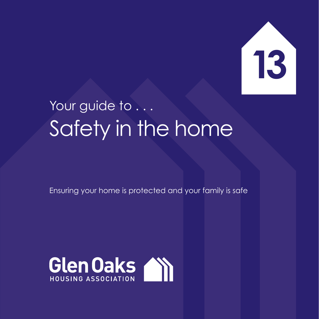

## Your guide to . . . Safety in the home

Ensuring your home is protected and your family is safe

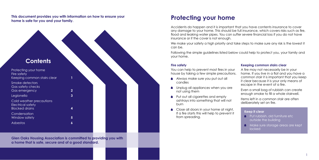**This document provides you with information on how to ensure your home is safe for you and your family.**

**Glen Oaks Housing Association is committed to providing you with a home that is safe, secure and of a good standard.** 



We make your safety a high priority and take steps to make sure any risk is the lowest it can be.

### **Protecting your home**

You can help to prevent most fires in your house by taking a few simple precautions.

Accidents do happen and it is important that you have contents insurance to cover any damage to your home. This should be full insurance, which covers risks such as fire, flood and leaking water pipes. You can suffer severe financial loss if you do not have insurance or if the cover is not enough.

- Always make sure you put out all candles
- **Inplug all appliances when you are** not using them
- Put out all cigarettes and empty ashtrays into something that will not burn
- Close all doors in your home at night. If a fire starts this will help to prevent it from spreading.
- **Put rubbish, old furniture etc.** outside the building
- **A** Make sure storage areas are kept locked

Following the simple guidelines listed below could help to protect you, your family and your home.

#### **Fire safety**

#### **Keeping common stairs clear**

A fire may not necessarily be in your home. If you live in a flat and you have a common stair it is important that you keep it clear because it is your only means of escape in the event of a fire.

Even a small bag of rubbish can create enough smoke to fill a whole stairwell.

Items left in a common stair are often deliberately set on fire.

#### **Keep it clear**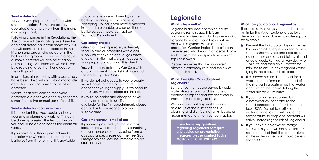#### **Smoke detectors**

All Glen Oaks properties are fitted with smoke detectors. Some are batteryoperated and others work from the mains electricity supply.

Smoke, heat and carbon monoxide detectors are checked once a year at the same time as the annual aas safety visit.

Following changes in Fire Regulations, the Association will be installing linked smoke and heat detectors in your home by 2020. This will consist of a heat detector in the kitchen and one smoke detector in the hall and living room. If you live in a house, a smoke detector will also be fitted on each landing. All detectors will be linked by a radio signal so that if one goes off, they all go off.

In addition, all properties with a gas supply have been fitted with a carbon monoxide detector. This is not linked to the other detectors.

#### **Smoke detectors can save lives**

If we do not get access to your property we will have to force access and disconnect your gas supply. If we need to do this you will be invoiced for the cost.

It is important that you regularly check your smoke alarms are working. This can be done by pressing the test button and you should be able to hear if the alarm still works.

If you have a battery operated smoke detector you will need to replace the batteries from time to time. It is advisable to do this every year. Normally, as the battery is running down it makes a "bleeping" sound. If you have a medical issue and are unable to change these batteries, you should contact our Technical Department.

#### **Gas safety checks**

Glen Oaks takes gas safety extremely seriously and all properties with a gas supply must have an annual gas safety check. It is vital that we gain access to your property to carry out this check.

> We also carry out any works required as a result of these inspections i.e. cleaning and disinfecting tanks, based on recommendations from our contractor.

You will be contacted by Gas Sure with an appointment in the first instance and thereafter by Glen Oaks.

It would be easier and cheaper for you to provide access to us - if you are not available for the first appointment, please contact us to re-arrange to a more suitable time.

### **Gas emergency – smell of gas**

- **Prevent the build up of stagnant water** by running all infrequently used outlets such as showers, hot and cold taps, outside taps and second toilets at least once a week. Run water very slowly for 1 minute and then on full power for 5 minutes to ensure any stagnant water lying in the pipework is cleared.
- If a shower has not been used for a week or more, immerse the head of the shower in a basin or bath of water and turn on the shower letting the water run for 2-3 minutes.
- $\blacksquare$  If your hot water is supplied by a hot water cylinder, ensure the stored temperature of this is set to at least 60ºC. Do not turn off your hot water cylinder as this will cause the temperature to drop and bacteria will thrive, increasing the risk of Legionella.
- **If you have a cold water storage** tank within your own house or flat, it is recommended that the temperature of the water in the tank should be less than 20ºC.

If you smell gas, think you have a gas leak, or are worried that fumes containing carbon monoxide are escaping from a gas appliance, please call the free Gas Emergency Services line immediately on **0800 111 999**.

#### **What is Legionella?**

Legionella are bacteria which cause Legionnaires' disease. This is an uncommon disease similar to pneumonia. Legionella bacteria can live in hot and cold water systems within domestic properties. Contaminated bacteria can be released into the air in an aerosol form such as from the fine spray from running taps or showers.

Please be aware that Legionnaires' disease is extremely rare and the risk of infection is small.

#### **What does Glen Oaks do about Legionella?**

Some of our homes are served by cold water storage tanks and we have a contractor inspect and test the water in these tanks on a regular basis.

## **Legionella**

### **What can you do about Legionella?**

There are some things you can do to help minimise the risk of Legionella bacteria developing in your domestic water supply for example:

**If you have any questions regarding Legionella or require any advice on preventative measures please contact Louise McNicol on 0141 620 2749.**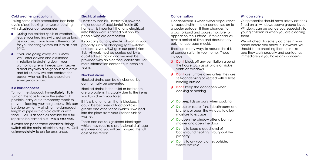Taking some basic precautions can help avoid pipes freezing - or worse, bursting with disastrous consequences.

#### **Cold weather precautions**

- **During the coldest spells of weather,** leave your heating switched on as long as you can. If you have a thermostat for your heating system set it to at least 10°C.
- $\blacksquare$  If you are going away let us know. We'll offer advice and assistance in relation to draining down your plumbing system, if necessary. Leave a door key with a neighbour or relative and tell us how we can contact the person who has the key should an emergency occur.

### **If a burst happens**

Turn off the stopcock **immediately**. Fully turn on the taps to drain the system. If possible, carry out a temporary repair to prevent flooding your neighbours. This can be done by tightly binding the damaged length of pipe with an old cloth or with tape. Call us as soon as possible for a full repair to be carried out - **this is essential***.*

If water has penetrated electrical fittings, switch off the mains electricity supply. Call us **immediately** to ask for assistance.

#### **Electrical safety**

Electricity can kill. Electricity is now the major cause of accidental fires in UK homes. It is important that any electrical installation work is carried out only by people who are competent.

If you carry out any electrical work in your property such as changing light switches or sockets, you MUST gain our permission first. All work must be carried out by a qualified electrician and we must be provided with an electrical certificate. For more information contact our Technical team.

#### **Blocked drains**

Blocked drains can be a nuisance, but can normally be prevented.

Blocked drains in the toilet or bathroom are a problem; it's usually due to the items you flush down your toilet.

If it's a kitchen drain that is blocked, it could be because of food particles, grease and other debris which is washed into the pipes from your kitchen sink or washer.

These can cause significant blockages which may require a professional drainage engineer and you will be charged the full cost of the repair.

#### **Condensation**

Condensation is when water vapour that is trapped within the air condenses on to a cooler surface. It then changes from a gas to liquid and causes moisture to appear on the surface. If this continues over a period of time and does not dry out, it encourages mould.

There are many ways to reduce the risk of condensation in your home. These include:

- ✗ **Don't** block off any ventilation around the house such as air bricks or trickle vents on windows
- ✗ **Don't** use tumble driers unless they are self-condensing or vented with a hose leading outside
- ✗ **Don't** keep the door open when cooking or bathing
- ✓ **Do** keep lids on pans when cooking
- ✓ **Do** use extractor fans in bathrooms and kitchens or open the window to allow moisture to escape
- ✓ **Do** open the window after a bath or shower and open the door
- ✓ **Do** try to keep a good level of background heating throughout the property
- ✓ **Do** try to dry your clothes outside, where possible

#### **Window safety**

Our properties should have safety catches fitted on all windows above around level. Windows can be dangerous, especially to young children or when you are cleaning them.

We will check for safety catches in your home before you move in. However, you should keep checking them to make sure they work properly and contact us immediately if you have any concerns.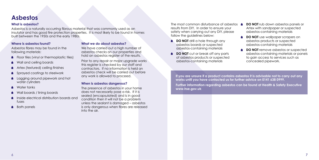#### **Where is asbestos found?**

Asbestos fibres may be found in the following materials:

- Floor tiles (vinyl or thermoplastic tiles)
- Wall and ceiling boards
- Artex (textured) ceiling finishes
- Sprayed coatings to steelwork
- Lagging around pipework and hot water cylinders
- Water tanks
- Wall boards / lining boards
- Inside electrical distribution boards and fuses
- Bath panels

We have carried out a high number of asbestos checks on our properties and hold an asbestos register of the results.

#### **What we do about asbestos?**

Prior to any repair or major upgrade works this register is checked by our staff and contractors. If no information is held an asbestos check will be carried out before any work is allowed to proceed.

The most common disturbance of asbestos  $\triangle$ results from DIY. In order to ensure your safety when carrying out any DIY, please follow the guidelines below:

#### **When is asbestos dangerous?**

- **DO NOT** drill a hole through any asbestos boards or suspected asbestos-containing materials
- **DO NOT** cut or break off any parts of asbestos products or suspected asbestos-containing materials

The presence of asbestos in your home does not necessarily pose a risk. If it is sealed (encapsulated) and is in good condition then it will not be a problem unless the sealant is damaged – asbestos is only dangerous when fibres are released into the air.

- **DO NOT** rub down asbestos panels or Artex with sandpaper or suspected asbestos-containing materials
- **DO NOT** use wallpaper scrapers on asbestos products or suspected asbestos-containing materials
- **DO NOT** remove asbestos or suspected asbestos-containing materials or panels to gain access to services such as concealed pipework.

### **Asbestos**

**If you are unsure if a product contains asbestos it is advisable not to carry out any works until you have contacted us for further advice on 0141 638 0999. Further information regarding asbestos can be found at Health & Safety Executive www.hse.gov.uk**

#### **What is asbestos?**

Asbestos is a naturally occurring fibrous material that was commonly used as an insulator and has good fire protection properties. It is most likely to be found in homes built between the 1950s and the early 1980s.